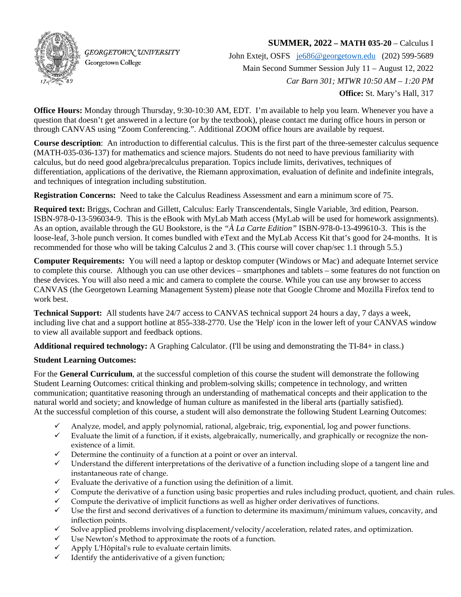

**GEORGETOWN UNIVERSITY** Georgetown College

## **SUMMER, 2022 – MATH 035-20** – Calculus I

John Extejt, OSFS [je686@georgetown.edu](mailto:je686@georgetown.edu) (202) 599-5689 Main Second Summer Session July 11 – August 12, 2022 *Car Barn 301; MTWR 10:50 AM – 1:20 PM*  **Office:** St. Mary's Hall, 317

**Office Hours:** Monday through Thursday, 9:30-10:30 AM, EDT. I'm available to help you learn. Whenever you have a question that doesn't get answered in a lecture (or by the textbook), please contact me during office hours in person or through CANVAS using "Zoom Conferencing.". Additional ZOOM office hours are available by request.

**Course description**: An introduction to differential calculus. This is the first part of the three-semester calculus sequence (MATH-035-036-137) for mathematics and science majors. Students do not need to have previous familiarity with calculus, but do need good algebra/precalculus preparation. Topics include limits, derivatives, techniques of differentiation, applications of the derivative, the Riemann approximation, evaluation of definite and indefinite integrals, and techniques of integration including substitution.

**Registration Concerns:** Need to take the Calculus Readiness Assessment and earn a minimum score of 75.

**Required text:** Briggs, Cochran and Gillett, Calculus: Early Transcendentals, Single Variable, 3rd edition, Pearson. ISBN-978-0-13-596034-9. This is the eBook with MyLab Math access (MyLab will be used for homework assignments). As an option, available through the GU Bookstore, is the *"À La Carte Edition"* ISBN-978-0-13-499610-3. This is the loose-leaf, 3-hole punch version. It comes bundled with eText and the MyLab Access Kit that's good for 24-months. It is recommended for those who will be taking Calculus 2 and 3. (This course will cover chap/sec 1.1 through 5.5.)

**Computer Requirements:** You will need a laptop or desktop computer (Windows or Mac) and adequate Internet service to complete this course. Although you can use other devices – smartphones and tablets – some features do not function on these devices. You will also need a mic and camera to complete the course. While you can use any browser to access CANVAS (the Georgetown Learning Management System) please note that Google Chrome and Mozilla Firefox tend to work best.

**Technical Support:** All students have 24/7 access to CANVAS technical support 24 hours a day, 7 days a week, including live chat and a support hotline at 855-338-2770. Use the 'Help' icon in the lower left of your CANVAS window to view all available support and feedback options.

**Additional required technology:** A Graphing Calculator. (I'll be using and demonstrating the TI-84+ in class.)

## **Student Learning Outcomes:**

For the **General Curriculum**, at the successful completion of this course the student will demonstrate the following Student Learning Outcomes: critical thinking and problem-solving skills; competence in technology, and written communication; quantitative reasoning through an understanding of mathematical concepts and their application to the natural world and society; and knowledge of human culture as manifested in the liberal arts (partially satisfied). At the successful completion of this course, a student will also demonstrate the following Student Learning Outcomes:

- $\checkmark$  Analyze, model, and apply polynomial, rational, algebraic, trig, exponential, log and power functions.
- $\checkmark$  Evaluate the limit of a function, if it exists, algebraically, numerically, and graphically or recognize the nonexistence of a limit.
- $\checkmark$  Determine the continuity of a function at a point or over an interval.
- $\checkmark$  Understand the different interpretations of the derivative of a function including slope of a tangent line and instantaneous rate of change.
- $\checkmark$  Evaluate the derivative of a function using the definition of a limit.
- $\checkmark$  Compute the derivative of a function using basic properties and rules including product, quotient, and chain rules.
- $\checkmark$  Compute the derivative of implicit functions as well as higher order derivatives of functions.
- $\checkmark$  Use the first and second derivatives of a function to determine its maximum/minimum values, concavity, and inflection points.
- $\checkmark$  Solve applied problems involving displacement/velocity/acceleration, related rates, and optimization.
- $\checkmark$  Use Newton's Method to approximate the roots of a function.
- Apply L'Hôpital's rule to evaluate certain limits.
- Identify the antiderivative of a given function;